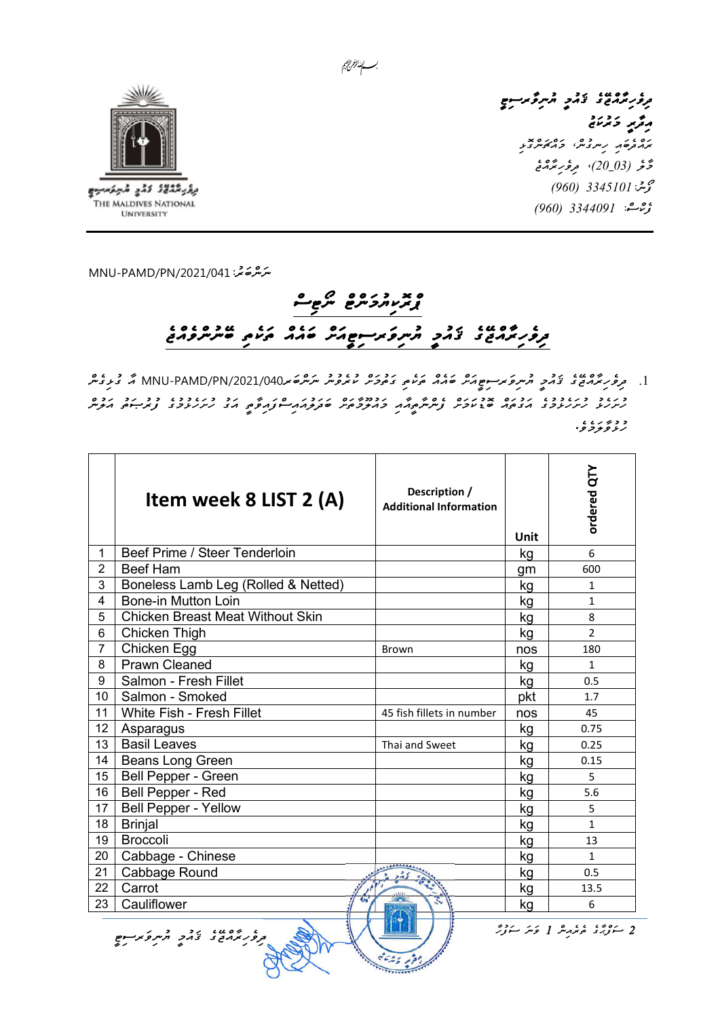

يؤيثثثث كثي شيفحيه THE MALDIVES NATIONAL **UNIVERSITY** 

، ۱۵۵۵، در درگرگردسوم<br>تروپرمرمون دمرد مرکز مرسوم رۇپر دېزىنى ރައްދެބައި ހިނގުނ،ް މައްޗަންގޮޅި <u>ۇغە (20\_03)، موفورىڭدىمى</u> گۈشن<sup>:</sup> 3345101 (960) ېۋىشە: 3344091 (*960)* 

ﯩ*ﯩﺰﯨ*ﯘﻣﯘ<sup>ﻧ</sup>ﻰ: MNU-PAMD/PN/2021/041

## 

.1 ދިވެހިރާއްޖޭގެ ޤައުމީ ޔުނިވަރސިޓީއަށް ބައެއް ތަކެތި ގަތުމަށް ކުރެވުނު ނަންބަރ/2021/040PN/PAMD-MNU އާ ގުޅިގެން ހުށަހެޅު ހުށަހެޅުމުގެ އަގުތައް ބޮޑުކަމަށް ފެންނާތީއާއި މައުލޫމާތަށް ބަދަލުއައިސްފައިވާތީ އަގު ހުށަހެޅުމުގެ ފުރުޞަތު އަލުން د د پ پ<br>رز *ونو*ژ و٠

|                | Item week 8 LIST 2 (A)                                                                 | Description /<br><b>Additional Information</b> | Unit | ordered QTY   |  |  |
|----------------|----------------------------------------------------------------------------------------|------------------------------------------------|------|---------------|--|--|
| $\mathbf{1}$   | Beef Prime / Steer Tenderloin                                                          |                                                | kg   | 6             |  |  |
| $\overline{2}$ | <b>Beef Ham</b>                                                                        |                                                | gm   | 600           |  |  |
| 3              | Boneless Lamb Leg (Rolled & Netted)                                                    |                                                | kg   | $\mathbf{1}$  |  |  |
| 4              | <b>Bone-in Mutton Loin</b>                                                             |                                                | kg   | $\mathbf{1}$  |  |  |
| 5              | <b>Chicken Breast Meat Without Skin</b>                                                |                                                | kg   | 8             |  |  |
| 6              | Chicken Thigh                                                                          |                                                | kg   | $\mathcal{P}$ |  |  |
| 7              | Chicken Egg                                                                            | Brown                                          | nos  | 180           |  |  |
| 8              | <b>Prawn Cleaned</b>                                                                   |                                                | kg   | $\mathbf{1}$  |  |  |
| 9              | Salmon - Fresh Fillet                                                                  |                                                | kg   | 0.5           |  |  |
| 10             | Salmon - Smoked                                                                        |                                                | pkt  | 1.7           |  |  |
| 11             | White Fish - Fresh Fillet                                                              | 45 fish fillets in number                      | nos  | 45            |  |  |
| 12             | Asparagus                                                                              |                                                | kg   | 0.75          |  |  |
| 13             | <b>Basil Leaves</b>                                                                    | Thai and Sweet                                 | kg   | 0.25          |  |  |
| 14             | Beans Long Green                                                                       |                                                | kg   | 0.15          |  |  |
| 15             | Bell Pepper - Green                                                                    |                                                | kg   | 5             |  |  |
| 16             | Bell Pepper - Red                                                                      |                                                | kg   | 5.6           |  |  |
| 17             | <b>Bell Pepper - Yellow</b>                                                            |                                                | kg   | 5             |  |  |
| 18             | <b>Brinjal</b>                                                                         |                                                | kg   | $\mathbf{1}$  |  |  |
| 19             | <b>Broccoli</b>                                                                        |                                                | kg   | 13            |  |  |
| 20             | Cabbage - Chinese                                                                      |                                                | kg   | $\mathbf{1}$  |  |  |
| 21             | Cabbage Round                                                                          |                                                | kg   | 0.5           |  |  |
| 22             | Carrot                                                                                 |                                                | kg   | 13.5          |  |  |
| 23             | Cauliflower                                                                            |                                                | kg   | 6             |  |  |
|                | 2 سَوْيَرُى مْحَمْدَ شَرْ 1 وَسَرَ سَوَيْرٌ<br>و ده ده ده ده در در در در در وجود استان |                                                |      |               |  |  |

بسسا الزارالجيم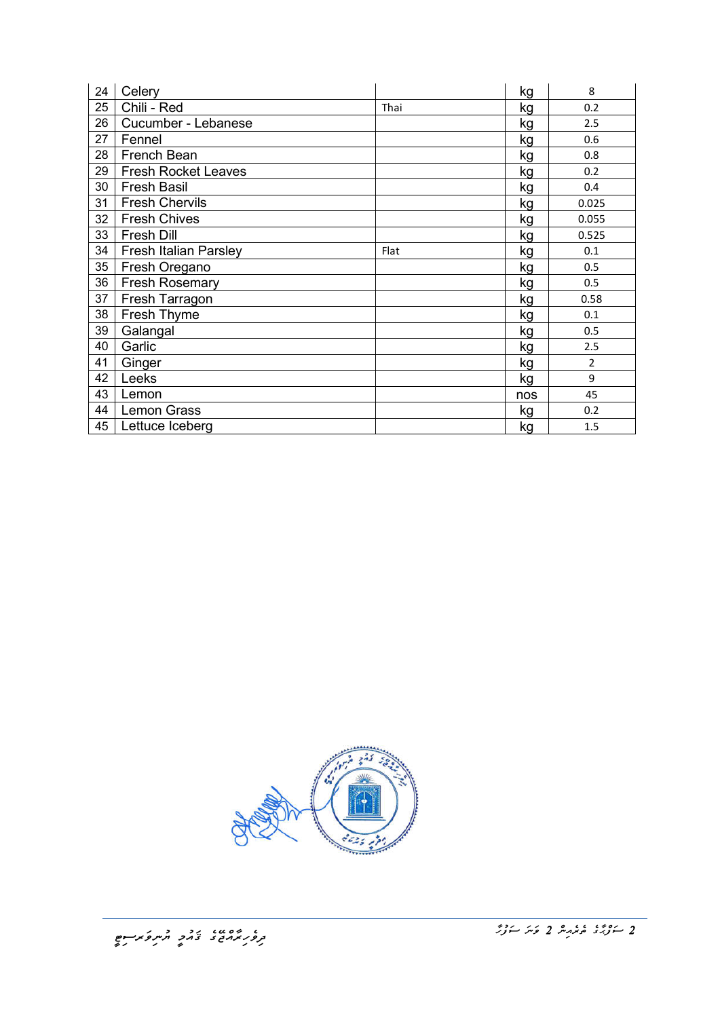| 24 | Celery                     |      | kg  | 8              |
|----|----------------------------|------|-----|----------------|
| 25 | Chili - Red                | Thai | kg  | 0.2            |
| 26 | Cucumber - Lebanese        |      | kg  | 2.5            |
| 27 | Fennel                     |      | kg  | 0.6            |
| 28 | French Bean                |      | kg  | 0.8            |
| 29 | <b>Fresh Rocket Leaves</b> |      | kg  | 0.2            |
| 30 | <b>Fresh Basil</b>         |      | kg  | 0.4            |
| 31 | <b>Fresh Chervils</b>      |      | kg  | 0.025          |
| 32 | <b>Fresh Chives</b>        |      | kg  | 0.055          |
| 33 | Fresh Dill                 |      | kg  | 0.525          |
| 34 | Fresh Italian Parsley      | Flat | kg  | 0.1            |
| 35 | Fresh Oregano              |      | kg  | 0.5            |
| 36 | <b>Fresh Rosemary</b>      |      | kg  | 0.5            |
| 37 | Fresh Tarragon             |      | kg  | 0.58           |
| 38 | Fresh Thyme                |      | kg  | 0.1            |
| 39 | Galangal                   |      | kg  | 0.5            |
| 40 | Garlic                     |      | kg  | 2.5            |
| 41 | Ginger                     |      | kg  | $\overline{2}$ |
| 42 | Leeks                      |      | kg  | 9              |
| 43 | Lemon                      |      | nos | 45             |
| 44 | <b>Lemon Grass</b>         |      | kg  | 0.2            |
| 45 | Lettuce Iceberg            |      | kg  | 1.5            |

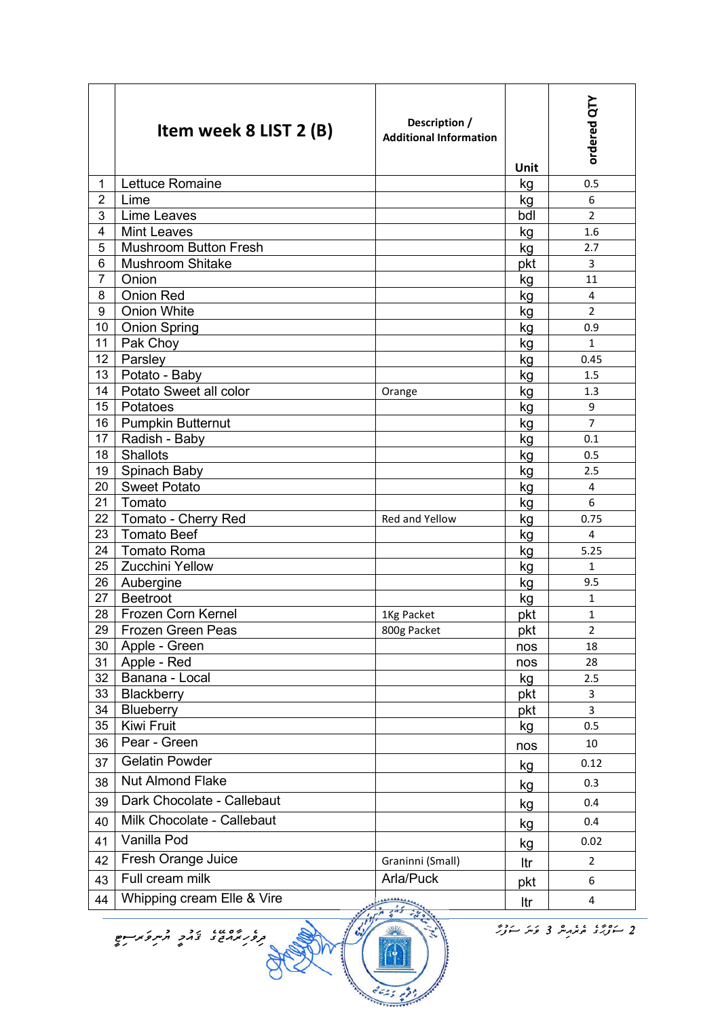| Lettuce Romaine<br>1<br>kg<br>0.5<br>$\overline{2}$<br>Lime<br>6<br>kg<br>3<br>Lime Leaves<br>$\overline{2}$<br>bdl<br><b>Mint Leaves</b><br>4<br>kg<br>1.6<br><b>Mushroom Button Fresh</b><br>5<br>2.7<br>kg<br><b>Mushroom Shitake</b><br>pkt<br>6<br>3<br>Onion<br>$\overline{7}$<br>kg<br>11<br><b>Onion Red</b><br>8<br>4<br>kg<br><b>Onion White</b><br>9<br>$\overline{2}$<br>kg<br><b>Onion Spring</b><br>10<br>0.9<br>kg<br>Pak Choy<br>11<br>$\mathbf{1}$<br>kg<br>Parsley<br>12<br>kg<br>0.45<br>13<br>Potato - Baby<br>kg<br>1.5<br>Potato Sweet all color<br>14<br>kg<br>1.3<br>Orange<br>Potatoes<br>15<br>9<br>kg<br><b>Pumpkin Butternut</b><br>16<br>$\overline{7}$<br>kg<br>Radish - Baby<br>17<br>kg<br>0.1<br><b>Shallots</b><br>18<br>kg<br>0.5<br>Spinach Baby<br>19<br>kg<br>2.5<br><b>Sweet Potato</b><br>20<br>4<br>kg<br>Tomato<br>21<br>6<br>kg<br>22<br>Tomato - Cherry Red<br>Red and Yellow<br>0.75<br>kg<br><b>Tomato Beef</b><br>23<br>4<br>kg<br><b>Tomato Roma</b><br>24<br>5.25<br>kg<br><b>Zucchini Yellow</b><br>25<br>kg<br>$\mathbf{1}$<br>26<br>Aubergine<br>9.5<br>kg<br><b>Beetroot</b><br>27<br>kg<br>1<br>28<br>Frozen Corn Kernel<br>$\mathbf 1$<br>pkt<br>1Kg Packet<br>29<br>Frozen Green Peas<br>800g Packet<br>pkt<br>$\overline{2}$<br>30<br>Apple - Green<br>18<br>nos<br>31<br>Apple - Red<br>28<br>nos<br>32<br>Banana - Local<br>2.5<br>kg<br>Blackberry<br>33<br>pkt<br>3<br>Blueberry<br>34<br>3<br>pkt<br>35<br>Kiwi Fruit<br>kg<br>0.5<br>Pear - Green<br>36<br>10<br>nos<br><b>Gelatin Powder</b><br>37<br>0.12<br>kg<br><b>Nut Almond Flake</b><br>38<br>0.3<br>kg<br>Dark Chocolate - Callebaut<br>39<br>0.4<br>kg<br>Milk Chocolate - Callebaut<br>40<br>0.4<br>kg<br>Vanilla Pod<br>41<br>0.02<br>kg<br>Fresh Orange Juice<br>42<br>Graninni (Small)<br>$\overline{2}$<br>Itr<br>Full cream milk<br>Arla/Puck<br>43<br>6<br>pkt | Item week 8 LIST 2 (B)     | Description /<br><b>Additional Information</b> | Unit | ordered QTY |
|------------------------------------------------------------------------------------------------------------------------------------------------------------------------------------------------------------------------------------------------------------------------------------------------------------------------------------------------------------------------------------------------------------------------------------------------------------------------------------------------------------------------------------------------------------------------------------------------------------------------------------------------------------------------------------------------------------------------------------------------------------------------------------------------------------------------------------------------------------------------------------------------------------------------------------------------------------------------------------------------------------------------------------------------------------------------------------------------------------------------------------------------------------------------------------------------------------------------------------------------------------------------------------------------------------------------------------------------------------------------------------------------------------------------------------------------------------------------------------------------------------------------------------------------------------------------------------------------------------------------------------------------------------------------------------------------------------------------------------------------------------------------------------------------------------------------------------------------------------------------------------------------|----------------------------|------------------------------------------------|------|-------------|
|                                                                                                                                                                                                                                                                                                                                                                                                                                                                                                                                                                                                                                                                                                                                                                                                                                                                                                                                                                                                                                                                                                                                                                                                                                                                                                                                                                                                                                                                                                                                                                                                                                                                                                                                                                                                                                                                                                |                            |                                                |      |             |
|                                                                                                                                                                                                                                                                                                                                                                                                                                                                                                                                                                                                                                                                                                                                                                                                                                                                                                                                                                                                                                                                                                                                                                                                                                                                                                                                                                                                                                                                                                                                                                                                                                                                                                                                                                                                                                                                                                |                            |                                                |      |             |
|                                                                                                                                                                                                                                                                                                                                                                                                                                                                                                                                                                                                                                                                                                                                                                                                                                                                                                                                                                                                                                                                                                                                                                                                                                                                                                                                                                                                                                                                                                                                                                                                                                                                                                                                                                                                                                                                                                |                            |                                                |      |             |
|                                                                                                                                                                                                                                                                                                                                                                                                                                                                                                                                                                                                                                                                                                                                                                                                                                                                                                                                                                                                                                                                                                                                                                                                                                                                                                                                                                                                                                                                                                                                                                                                                                                                                                                                                                                                                                                                                                |                            |                                                |      |             |
|                                                                                                                                                                                                                                                                                                                                                                                                                                                                                                                                                                                                                                                                                                                                                                                                                                                                                                                                                                                                                                                                                                                                                                                                                                                                                                                                                                                                                                                                                                                                                                                                                                                                                                                                                                                                                                                                                                |                            |                                                |      |             |
|                                                                                                                                                                                                                                                                                                                                                                                                                                                                                                                                                                                                                                                                                                                                                                                                                                                                                                                                                                                                                                                                                                                                                                                                                                                                                                                                                                                                                                                                                                                                                                                                                                                                                                                                                                                                                                                                                                |                            |                                                |      |             |
|                                                                                                                                                                                                                                                                                                                                                                                                                                                                                                                                                                                                                                                                                                                                                                                                                                                                                                                                                                                                                                                                                                                                                                                                                                                                                                                                                                                                                                                                                                                                                                                                                                                                                                                                                                                                                                                                                                |                            |                                                |      |             |
|                                                                                                                                                                                                                                                                                                                                                                                                                                                                                                                                                                                                                                                                                                                                                                                                                                                                                                                                                                                                                                                                                                                                                                                                                                                                                                                                                                                                                                                                                                                                                                                                                                                                                                                                                                                                                                                                                                |                            |                                                |      |             |
|                                                                                                                                                                                                                                                                                                                                                                                                                                                                                                                                                                                                                                                                                                                                                                                                                                                                                                                                                                                                                                                                                                                                                                                                                                                                                                                                                                                                                                                                                                                                                                                                                                                                                                                                                                                                                                                                                                |                            |                                                |      |             |
|                                                                                                                                                                                                                                                                                                                                                                                                                                                                                                                                                                                                                                                                                                                                                                                                                                                                                                                                                                                                                                                                                                                                                                                                                                                                                                                                                                                                                                                                                                                                                                                                                                                                                                                                                                                                                                                                                                |                            |                                                |      |             |
|                                                                                                                                                                                                                                                                                                                                                                                                                                                                                                                                                                                                                                                                                                                                                                                                                                                                                                                                                                                                                                                                                                                                                                                                                                                                                                                                                                                                                                                                                                                                                                                                                                                                                                                                                                                                                                                                                                |                            |                                                |      |             |
|                                                                                                                                                                                                                                                                                                                                                                                                                                                                                                                                                                                                                                                                                                                                                                                                                                                                                                                                                                                                                                                                                                                                                                                                                                                                                                                                                                                                                                                                                                                                                                                                                                                                                                                                                                                                                                                                                                |                            |                                                |      |             |
|                                                                                                                                                                                                                                                                                                                                                                                                                                                                                                                                                                                                                                                                                                                                                                                                                                                                                                                                                                                                                                                                                                                                                                                                                                                                                                                                                                                                                                                                                                                                                                                                                                                                                                                                                                                                                                                                                                |                            |                                                |      |             |
|                                                                                                                                                                                                                                                                                                                                                                                                                                                                                                                                                                                                                                                                                                                                                                                                                                                                                                                                                                                                                                                                                                                                                                                                                                                                                                                                                                                                                                                                                                                                                                                                                                                                                                                                                                                                                                                                                                |                            |                                                |      |             |
|                                                                                                                                                                                                                                                                                                                                                                                                                                                                                                                                                                                                                                                                                                                                                                                                                                                                                                                                                                                                                                                                                                                                                                                                                                                                                                                                                                                                                                                                                                                                                                                                                                                                                                                                                                                                                                                                                                |                            |                                                |      |             |
|                                                                                                                                                                                                                                                                                                                                                                                                                                                                                                                                                                                                                                                                                                                                                                                                                                                                                                                                                                                                                                                                                                                                                                                                                                                                                                                                                                                                                                                                                                                                                                                                                                                                                                                                                                                                                                                                                                |                            |                                                |      |             |
|                                                                                                                                                                                                                                                                                                                                                                                                                                                                                                                                                                                                                                                                                                                                                                                                                                                                                                                                                                                                                                                                                                                                                                                                                                                                                                                                                                                                                                                                                                                                                                                                                                                                                                                                                                                                                                                                                                |                            |                                                |      |             |
|                                                                                                                                                                                                                                                                                                                                                                                                                                                                                                                                                                                                                                                                                                                                                                                                                                                                                                                                                                                                                                                                                                                                                                                                                                                                                                                                                                                                                                                                                                                                                                                                                                                                                                                                                                                                                                                                                                |                            |                                                |      |             |
|                                                                                                                                                                                                                                                                                                                                                                                                                                                                                                                                                                                                                                                                                                                                                                                                                                                                                                                                                                                                                                                                                                                                                                                                                                                                                                                                                                                                                                                                                                                                                                                                                                                                                                                                                                                                                                                                                                |                            |                                                |      |             |
|                                                                                                                                                                                                                                                                                                                                                                                                                                                                                                                                                                                                                                                                                                                                                                                                                                                                                                                                                                                                                                                                                                                                                                                                                                                                                                                                                                                                                                                                                                                                                                                                                                                                                                                                                                                                                                                                                                |                            |                                                |      |             |
|                                                                                                                                                                                                                                                                                                                                                                                                                                                                                                                                                                                                                                                                                                                                                                                                                                                                                                                                                                                                                                                                                                                                                                                                                                                                                                                                                                                                                                                                                                                                                                                                                                                                                                                                                                                                                                                                                                |                            |                                                |      |             |
|                                                                                                                                                                                                                                                                                                                                                                                                                                                                                                                                                                                                                                                                                                                                                                                                                                                                                                                                                                                                                                                                                                                                                                                                                                                                                                                                                                                                                                                                                                                                                                                                                                                                                                                                                                                                                                                                                                |                            |                                                |      |             |
|                                                                                                                                                                                                                                                                                                                                                                                                                                                                                                                                                                                                                                                                                                                                                                                                                                                                                                                                                                                                                                                                                                                                                                                                                                                                                                                                                                                                                                                                                                                                                                                                                                                                                                                                                                                                                                                                                                |                            |                                                |      |             |
|                                                                                                                                                                                                                                                                                                                                                                                                                                                                                                                                                                                                                                                                                                                                                                                                                                                                                                                                                                                                                                                                                                                                                                                                                                                                                                                                                                                                                                                                                                                                                                                                                                                                                                                                                                                                                                                                                                |                            |                                                |      |             |
|                                                                                                                                                                                                                                                                                                                                                                                                                                                                                                                                                                                                                                                                                                                                                                                                                                                                                                                                                                                                                                                                                                                                                                                                                                                                                                                                                                                                                                                                                                                                                                                                                                                                                                                                                                                                                                                                                                |                            |                                                |      |             |
|                                                                                                                                                                                                                                                                                                                                                                                                                                                                                                                                                                                                                                                                                                                                                                                                                                                                                                                                                                                                                                                                                                                                                                                                                                                                                                                                                                                                                                                                                                                                                                                                                                                                                                                                                                                                                                                                                                |                            |                                                |      |             |
|                                                                                                                                                                                                                                                                                                                                                                                                                                                                                                                                                                                                                                                                                                                                                                                                                                                                                                                                                                                                                                                                                                                                                                                                                                                                                                                                                                                                                                                                                                                                                                                                                                                                                                                                                                                                                                                                                                |                            |                                                |      |             |
|                                                                                                                                                                                                                                                                                                                                                                                                                                                                                                                                                                                                                                                                                                                                                                                                                                                                                                                                                                                                                                                                                                                                                                                                                                                                                                                                                                                                                                                                                                                                                                                                                                                                                                                                                                                                                                                                                                |                            |                                                |      |             |
|                                                                                                                                                                                                                                                                                                                                                                                                                                                                                                                                                                                                                                                                                                                                                                                                                                                                                                                                                                                                                                                                                                                                                                                                                                                                                                                                                                                                                                                                                                                                                                                                                                                                                                                                                                                                                                                                                                |                            |                                                |      |             |
|                                                                                                                                                                                                                                                                                                                                                                                                                                                                                                                                                                                                                                                                                                                                                                                                                                                                                                                                                                                                                                                                                                                                                                                                                                                                                                                                                                                                                                                                                                                                                                                                                                                                                                                                                                                                                                                                                                |                            |                                                |      |             |
|                                                                                                                                                                                                                                                                                                                                                                                                                                                                                                                                                                                                                                                                                                                                                                                                                                                                                                                                                                                                                                                                                                                                                                                                                                                                                                                                                                                                                                                                                                                                                                                                                                                                                                                                                                                                                                                                                                |                            |                                                |      |             |
|                                                                                                                                                                                                                                                                                                                                                                                                                                                                                                                                                                                                                                                                                                                                                                                                                                                                                                                                                                                                                                                                                                                                                                                                                                                                                                                                                                                                                                                                                                                                                                                                                                                                                                                                                                                                                                                                                                |                            |                                                |      |             |
|                                                                                                                                                                                                                                                                                                                                                                                                                                                                                                                                                                                                                                                                                                                                                                                                                                                                                                                                                                                                                                                                                                                                                                                                                                                                                                                                                                                                                                                                                                                                                                                                                                                                                                                                                                                                                                                                                                |                            |                                                |      |             |
|                                                                                                                                                                                                                                                                                                                                                                                                                                                                                                                                                                                                                                                                                                                                                                                                                                                                                                                                                                                                                                                                                                                                                                                                                                                                                                                                                                                                                                                                                                                                                                                                                                                                                                                                                                                                                                                                                                |                            |                                                |      |             |
|                                                                                                                                                                                                                                                                                                                                                                                                                                                                                                                                                                                                                                                                                                                                                                                                                                                                                                                                                                                                                                                                                                                                                                                                                                                                                                                                                                                                                                                                                                                                                                                                                                                                                                                                                                                                                                                                                                |                            |                                                |      |             |
|                                                                                                                                                                                                                                                                                                                                                                                                                                                                                                                                                                                                                                                                                                                                                                                                                                                                                                                                                                                                                                                                                                                                                                                                                                                                                                                                                                                                                                                                                                                                                                                                                                                                                                                                                                                                                                                                                                |                            |                                                |      |             |
|                                                                                                                                                                                                                                                                                                                                                                                                                                                                                                                                                                                                                                                                                                                                                                                                                                                                                                                                                                                                                                                                                                                                                                                                                                                                                                                                                                                                                                                                                                                                                                                                                                                                                                                                                                                                                                                                                                |                            |                                                |      |             |
|                                                                                                                                                                                                                                                                                                                                                                                                                                                                                                                                                                                                                                                                                                                                                                                                                                                                                                                                                                                                                                                                                                                                                                                                                                                                                                                                                                                                                                                                                                                                                                                                                                                                                                                                                                                                                                                                                                |                            |                                                |      |             |
|                                                                                                                                                                                                                                                                                                                                                                                                                                                                                                                                                                                                                                                                                                                                                                                                                                                                                                                                                                                                                                                                                                                                                                                                                                                                                                                                                                                                                                                                                                                                                                                                                                                                                                                                                                                                                                                                                                |                            |                                                |      |             |
|                                                                                                                                                                                                                                                                                                                                                                                                                                                                                                                                                                                                                                                                                                                                                                                                                                                                                                                                                                                                                                                                                                                                                                                                                                                                                                                                                                                                                                                                                                                                                                                                                                                                                                                                                                                                                                                                                                |                            |                                                |      |             |
|                                                                                                                                                                                                                                                                                                                                                                                                                                                                                                                                                                                                                                                                                                                                                                                                                                                                                                                                                                                                                                                                                                                                                                                                                                                                                                                                                                                                                                                                                                                                                                                                                                                                                                                                                                                                                                                                                                |                            |                                                |      |             |
|                                                                                                                                                                                                                                                                                                                                                                                                                                                                                                                                                                                                                                                                                                                                                                                                                                                                                                                                                                                                                                                                                                                                                                                                                                                                                                                                                                                                                                                                                                                                                                                                                                                                                                                                                                                                                                                                                                |                            |                                                |      |             |
| 44<br>4<br>$\begin{array}{c} \texttt{} \end{array}$<br>ltr                                                                                                                                                                                                                                                                                                                                                                                                                                                                                                                                                                                                                                                                                                                                                                                                                                                                                                                                                                                                                                                                                                                                                                                                                                                                                                                                                                                                                                                                                                                                                                                                                                                                                                                                                                                                                                     | Whipping cream Elle & Vire |                                                |      |             |

3525 199

حَوۡدُوۡ مُمۡمُمِنَّدٌ 3 وَسَرَ سَوۡرُمۡ ﴾ [15] صحيح الله عليه الله عليه الله عليه الله عن الله عن الله عن الل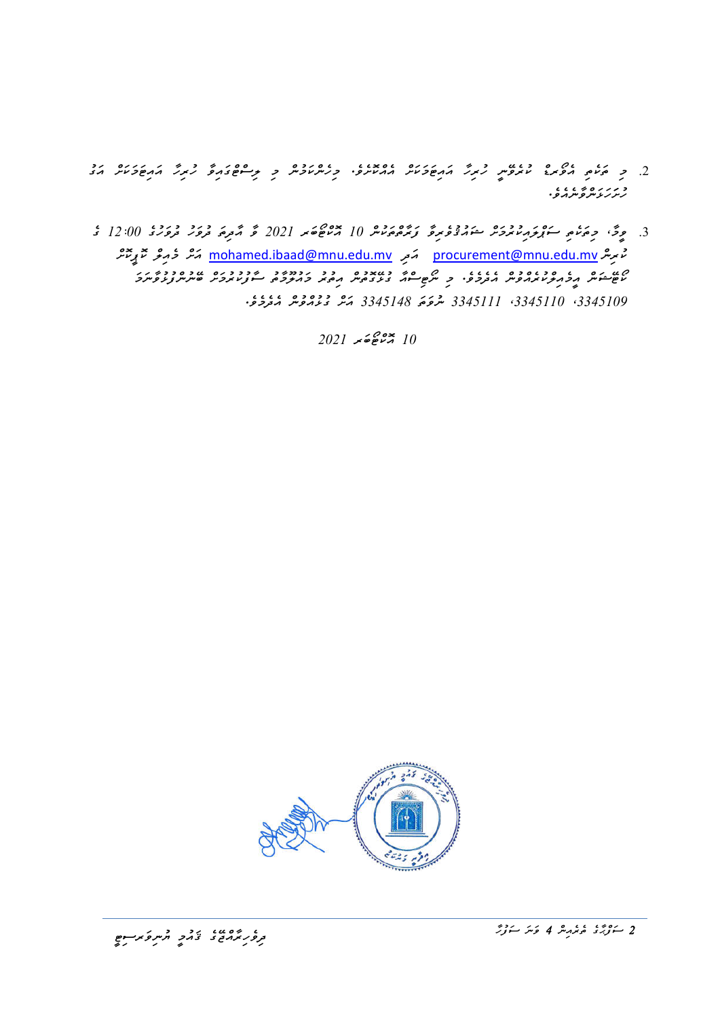- .2 މި ތަކެތި އެވޯރޑް ކުރެވޭނީ ހުރިހާ އައިޓަމަކަށް އެއްކޮށެވ.ެ މިހެންކަމުން މި ލިސްޓްގައިވާ ހުރިހާ އައިޓަމަކަށް އަގު د *د ر ه په د ب*<br>ر *بر بر پ*ر بو بر بر بو و
- 3. وِحَ، دِيمَ، سَوْرَ دِيمَ يُوْرِيْمُ سَوْرُوْغِ مِرَّةٍ دِيمَ دِيمَ رَبِيْهِ 10 × 2021 وَ مَّتْرِيَّةٍ فَرَقَ دَيْرِيَةٍ 12:00 وَ 12:00 فَرَقَ فَرَقَ دَيْرَةٍ 12:00 وَ 12:00 فَرَقَ فَرَقَةٍ فَرَقَةٍ 12:00 وَ 12:00 وَ غُ مِرِسْ <u>mohamed.ibaad@mnu.edu.mv</u> مَمَّدٍ خَرْجِرْ حَمْدٍ عَمَّدٍ مِنْتَرَّ m<u>ohamed.ibaad@mnu.edu.mv</u> ކޯޓޭޝަން އީމެއިލްކުރެއްވުން އެދެމެވ.ެ މި ނޯޓިސްއާ ގުޅޭގޮތުން އިތުރު މައުލޫމާތު ސާފުކުރުމަށް ބޭނުންފުޅުވާނަމަ ،3345109 ،3345110 3345111 ނުވަތަ 3345148 އަށް ގުޅުއްވުން އެދެމެވ.ެ

 $2021$  کوځونه کړ $10$